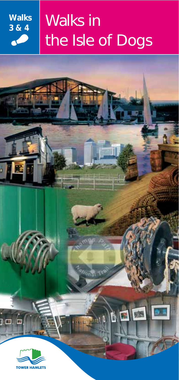

# Walks in the Isle of Dogs

*ational* Tr

**MOD** 



10

с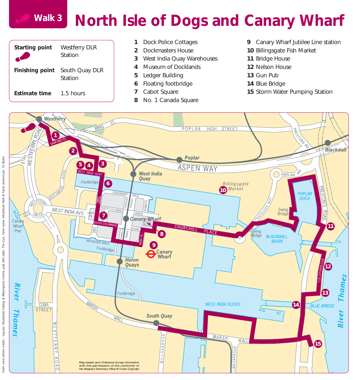#### **North Isle of Dogs and Canary Wharf Walk 3**



- Dock Police Cottages
- Dockmasters House
- West India Quay Warehouses
- Museum of Docklands
- Ledger Building
- Floating footbridge
- Cabot Square
- No. 1 Canada Square
- Canary Wharf Jubilee Line station
- Billingsgate Fish Market
- Bridge House
- Nelson House
- Gun Pub
- Blue Bridge
- Storm Water Pumping Station

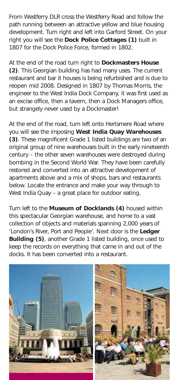From Westferry DLR cross the Westferry Road and follow the path running between an attractive yellow and blue housing development. Turn right and left into Garford Street. On your right you will see the **Dock Police Cottages (1)** built in 1807 for the Dock Police Force, formed in 1802.

At the end of the road turn right to **Dockmasters House (2)**. This Georgian building has had many uses. The current restaurant and bar it houses is being refurbished and is due to reopen mid 2008. Designed in 1807 by Thomas Morris, the engineer to the West India Dock Company, it was first used as an excise office, then a tavern, then a Dock Managers office, but strangely never used by a Dockmaster!

At the end of the road, turn left onto Hertsmere Road where you will see the imposing **West India Quay Warehouses (3)**. These magnificent Grade 1 listed buildings are two of an original group of nine warehouses built in the early nineteenth century – the other seven warehouses were destroyed during bombing in the Second World War. They have been carefully restored and converted into an attractive development of apartments above and a mix of shops, bars and restaurants below. Locate the entrance and make your way through to West India Quay – a great place for outdoor eating.

Turn left to the **Museum of Docklands (4)** housed within this spectacular Georgian warehouse, and home to a vast collection of objects and materials spanning 2,000 years of 'London's River, Port and People'. Next door is the **Ledger Building (5)**, another Grade 1 listed building, once used to keep the records on everything that came in and out of the docks. It has been converted into a restaurant.

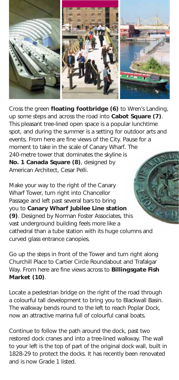

Cross the green **floating footbridge (6)** to Wren's Landing, up some steps and across the road into **Cabot Square (7)**. This pleasant tree-lined open space is a popular lunchtime spot, and during the summer is a setting for outdoor arts and events. From here are fine views of the City. Pause for a moment to take in the scale of Canary Wharf. The 240-metre tower that dominates the skyline is **No. 1 Canada Square (8)**, designed by American Architect, Cesar Pelli.

Make your way to the right of the Canary Wharf Tower, turn right into Chancellor Passage and left past several bars to bring you to **Canary Wharf Jubilee Line station (9)**. Designed by Norman Foster Associates, this vast underground building feels more like a cathedral than a tube station with its huge columns and curved glass entrance canopies.

Go up the steps in front of the Tower and turn right along Churchill Place to Cartier Circle Roundabout and Trafalgar Way. From here are fine views across to **Billingsgate Fish Market (10)**.

Locate a pedestrian bridge on the right of the road through a colourful tall development to bring you to Blackwall Basin. The walkway bends round to the left to reach Poplar Dock, now an attractive marina full of colourful canal boats.

Continue to follow the path around the dock, past two restored dock cranes and into a tree-lined walkway. The wall to your left is the top of part of the original dock wall, built in 1828-29 to protect the docks. It has recently been renovated and is now Grade 1 listed.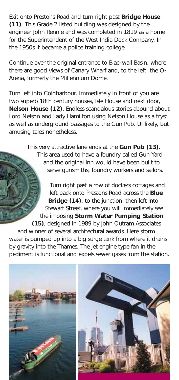Exit onto Prestons Road and turn right past **Bridge House (11)**. This Grade 2 listed building was designed by the engineer John Rennie and was completed in 1819 as a home for the Superintendent of the West India Dock Company. In the 1950s it became a police training college.

Continue over the original entrance to Blackwall Basin, where there are good views of Canary Wharf and, to the left, the  $O<sub>2</sub>$ Arena, formerly the Millennium Dome.

Turn left into Coldharbour. Immediately in front of you are two superb 18th century houses, Isle House and next door, **Nelson House (12)**. Endless scandalous stories abound about Lord Nelson and Lady Hamilton using Nelson House as a tryst, as well as underground passages to the Gun Pub. Unlikely, but amusing tales nonetheless.

> This very attractive lane ends at the **Gun Pub (13)**. This area used to have a foundry called Gun Yard and the original inn would have been built to serve gunsmiths, foundry workers and sailors.

Turn right past a row of dockers cottages and left back onto Prestons Road across the **Blue Bridge (14)**, to the junction, then left into Stewart Street, where you will immediately see the imposing **Storm Water Pumping Station (15)**, designed in 1989 by John Outram Associates and winner of several architectural awards. Here storm water is pumped up into a big surge tank from where it drains by gravity into the Thames. The jet engine type fan in the pediment is functional and expels sewer gases from the station.

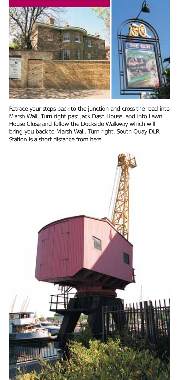

Retrace your steps back to the junction and cross the road into Marsh Wall. Turn right past Jack Dash House, and into Lawn House Close and follow the Dockside Walkway which will bring you back to Marsh Wall. Turn right, South Quay DLR Station is a short distance from here.

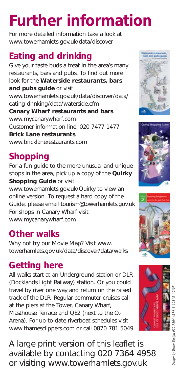# **Further information**

For more detailed information take a look at www.towerhamlets.gov.uk/data/discover

### **Eating and drinking**

Give your taste buds a treat in the area's many restaurants, bars and pubs. To find out more look for the **Waterside restaurants, bars and pubs guide** or visit www.towerhamlets.gov.uk/data/discover/data/ eating-drinking/data/waterside.cfm **Canary Wharf restaurants and bars** www.mycanarywharf.com Customer information line: 020 7477 1477 **Brick Lane restaurants** www.bricklanerestaurants.com

## **Shopping**

For a fun guide to the more unusual and unique shops in the area, pick up a copy of the **Quirky Shopping Guide or visit** 

www.towerhamlets.gov.uk/Quirky to view an online version. To request a hard copy of the Guide, please email tourism@towerhamlets.gov.uk For shops in Canary Wharf visit www.mycanarywharf.com

### **Other walks**

Why not try our Movie Map? Visit www. towerhamlets.gov.uk/data/discover/data/walks

### **Getting here**

All walks start at an Underground station or DLR (Docklands Light Railway) station. Or you could travel by river one way and return on the raised track of the DLR. Regular commuter cruises call at the piers at the Tower, Canary Wharf, Masthouse Terrace and QE2 (next to the O<sub>2</sub> Arena). For up-to-date riverboat schedules visit www.thamesclippers.com or call 0870 781 5049.

A large print version of this leaflet is available by contacting 020 7364 4958 or visiting www.towerhamlets.gov.uk







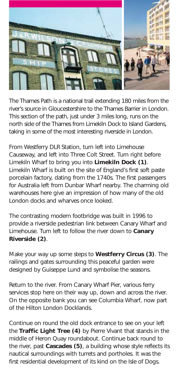

The Thames Path is a national trail extending 180 miles from the river's source in Gloucestershire to the Thames Barrier in London. This section of the path, just under 3 miles long, runs on the north side of the Thames from Limekiln Dock to Island Gardens, taking in some of the most interesting riverside in London.

From Westferry DLR Station, turn left into Limehouse Causeway, and left into Three Colt Street. Turn right before Limekiln Wharf to bring you into **Limekiln Dock (1)**. Limekiln Wharf is built on the site of England's first soft paste porcelain factory, dating from the 1740s. The first passengers for Australia left from Dunbar Wharf nearby. The charming old warehouses here give an impression of how many of the old London docks and wharves once looked.

The contrasting modern footbridge was built in 1996 to provide a riverside pedestrian link between Canary Wharf and Limehouse. Turn left to follow the river down to **Canary Riverside (2)**.

Make your way up some steps to **Westferry Circus (3)**. The railings and gates surrounding this peaceful garden were designed by Guiseppe Lund and symbolise the seasons.

Return to the river. From Canary Wharf Pier, various ferry services stop here on their way up, down and across the river. On the opposite bank you can see Columbia Wharf, now part of the Hilton London Docklands.

Continue on round the old dock entrance to see on your left the **Traffic Light Tree (4)** by Pierre Vivant that stands in the middle of Heron Quay roundabout. Continue back round to the river, past **Cascades (5)**, a building whose style reflects its nautical surroundings with turrets and portholes. It was the first residential development of its kind on the Isle of Dogs.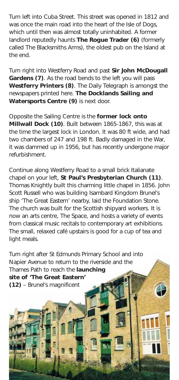Turn left into Cuba Street. This street was opened in 1812 and was once the main road into the heart of the Isle of Dogs, which until then was almost totally uninhabited. A former landlord reputedly haunts **The Rogue Trader (6)** (formerly called The Blacksmiths Arms), the oldest pub on the Island at the end.

Turn right into Westferry Road and past **Sir John McDougall Gardens (7)**. As the road bends to the left you will pass **Westferry Printers (8)**. The Daily Telegraph is amongst the newspapers printed here. **The Docklands Sailing and Watersports Centre (9)** is next door.

Opposite the Sailing Centre is the **former lock onto Millwall Dock (10)**. Built between 1865-1867, this was at the time the largest lock in London. It was 80 ft wide, and had two chambers of 247 and 198 ft. Badly damaged in the War, it was dammed up in 1956, but has recently undergone major refurbishment.

Continue along Westferry Road to a small brick Italianate chapel on your left, **St Paul's Presbyterian Church (11)**. Thomas Knightly built this charming little chapel in 1856. John Scott Russell who was building Isambard Kingdom Brunel's ship 'The Great Eastern' nearby, laid the Foundation Stone. The church was built for the Scottish shipyard workers. It is now an arts centre, The Space, and hosts a variety of events from classical music recitals to contemporary art exhibitions. The small, relaxed café upstairs is good for a cup of tea and light meals.

Turn right after St Edmunds Primary School and into Napier Avenue to return to the riverside and the Thames Path to reach the **launching site of 'The Great Eastern' (12)** – Brunel's magnificent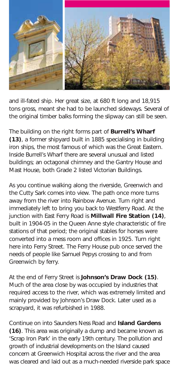

and ill-fated ship. Her great size, at 680 ft long and 18,915 tons gross, meant she had to be launched sideways. Several of the original timber balks forming the slipway can still be seen.

The building on the right forms part of **Burrell's Wharf (13)**, a former shipyard built in 1885 specialising in building iron ships, the most famous of which was the Great Eastern. Inside Burrell's Wharf there are several unusual and listed buildings; an octagonal chimney and the Gantry House and Mast House, both Grade 2 listed Victorian Buildings.

As you continue walking along the riverside, Greenwich and the Cutty Sark comes into view. The path once more turns away from the river into Rainbow Avenue. Turn right and immediately left to bring you back to Westferry Road. At the junction with East Ferry Road is **Millwall Fire Station (14)**, built in 1904-05 in the Queen Anne style characteristic of fire stations of that period; the original stables for horses were converted into a mess room and offices in 1925. Turn right here into Ferry Street. The Ferry House pub once served the needs of people like Samuel Pepys crossing to and from Greenwich by ferry.

At the end of Ferry Street is **Johnson's Draw Dock (15)**. Much of the area close by was occupied by industries that required access to the river, which was extremely limited and mainly provided by Johnson's Draw Dock. Later used as a scrapyard, it was refurbished in 1988.

Continue on into Saunders Ness Road and **Island Gardens (16)**. This area was originally a dump and became known as 'Scrap Iron Park' in the early 19th century. The pollution and growth of industrial developments on the Island caused concern at Greenwich Hospital across the river and the area was cleared and laid out as a much-needed riverside park space